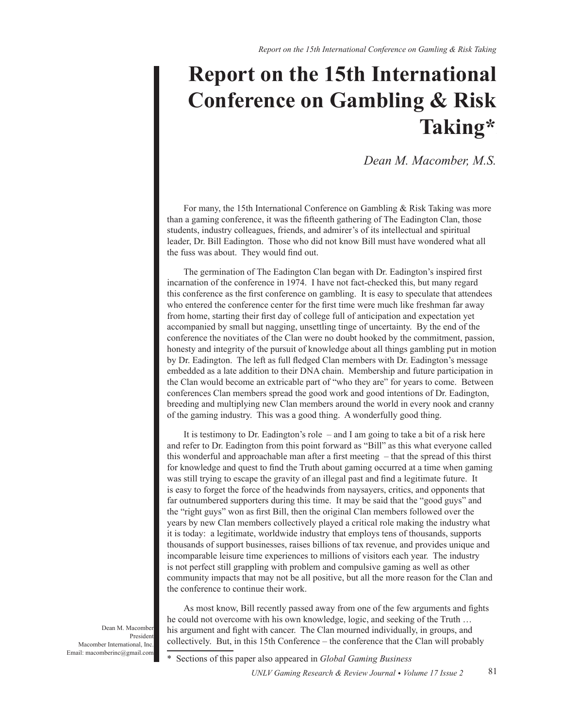# **Report on the 15th International Conference on Gambling & Risk** Taking\*

Dean M. Macomber, M.S.

For many, the 15th International Conference on Gambling & Risk Taking was more than a gaming conference, it was the fifteenth gathering of The Eadington Clan, those students, industry colleagues, friends, and admirer's of its intellectual and spiritual leader, Dr. Bill Eadington. Those who did not know Bill must have wondered what all the fuss was about. They would find out.

The germination of The Eadington Clan began with Dr. Eadington's inspired first incarnation of the conference in 1974. I have not fact-checked this, but many regard this conference as the first conference on gambling. It is easy to speculate that attendees who entered the conference center for the first time were much like freshman far away from home, starting their first day of college full of anticipation and expectation yet accompanied by small but nagging, unsettling tinge of uncertainty. By the end of the conference the novitiates of the Clan were no doubt hooked by the commitment, passion, honesty and integrity of the pursuit of knowledge about all things gambling put in motion by Dr. Eadington. The left as full fledged Clan members with Dr. Eadington's message embedded as a late addition to their DNA chain. Membership and future participation in the Clan would become an extricable part of "who they are" for years to come. Between conferences Clan members spread the good work and good intentions of Dr. Eadington, breeding and multiplying new Clan members around the world in every nook and cranny of the gaming industry. This was a good thing. A wonderfully good thing.

It is testimony to Dr. Eadington's role  $-$  and I am going to take a bit of a risk here and refer to Dr. Eadington from this point forward as "Bill" as this what everyone called this wonderful and approachable man after a first meeting  $-$  that the spread of this thirst for knowledge and quest to find the Truth about gaming occurred at a time when gaming was still trying to escape the gravity of an illegal past and find a legitimate future. It is easy to forget the force of the headwinds from naysayers, critics, and opponents that far outnumbered supporters during this time. It may be said that the "good guys" and the "right guys" won as first Bill, then the original Clan members followed over the years by new Clan members collectively played a critical role making the industry what it is today: a legitimate, worldwide industry that employs tens of thousands, supports thousands of support businesses, raises billions of tax revenue, and provides unique and incomparable leisure time experiences to millions of visitors each year. The industry is not perfect still grappling with problem and compulsive gaming as well as other community impacts that may not be all positive, but all the more reason for the Clan and the conference to continue their work.

As most know, Bill recently passed away from one of the few arguments and fights he could not overcome with his own knowledge, logic, and seeking of the Truth ... his argument and fight with cancer. The Clan mourned individually, in groups, and collectively. But, in this 15th Conference - the conference that the Clan will probably

Sections of this paper also appeared in *Global Gaming Business* 

Dean M. Macomber President Macomber International, Inc. Email: macomberinc@gmail.com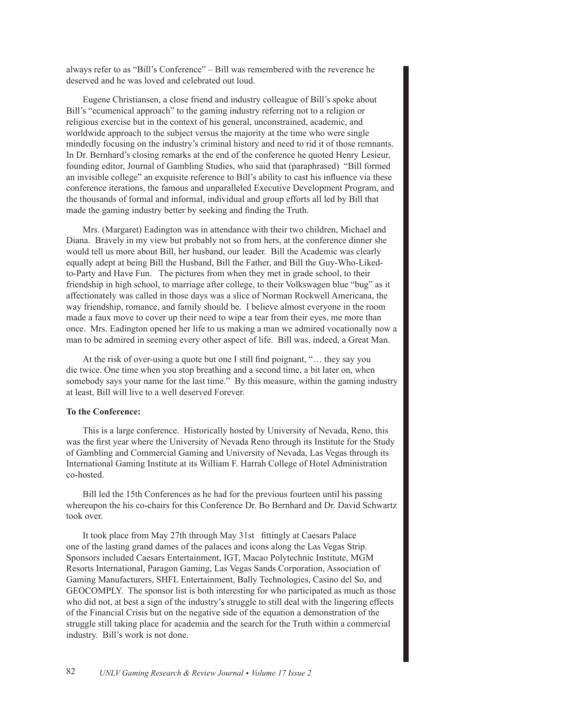always refer to as "Bill's Conference" – Bill was remembered with the reverence he deserved and he was loved and celebrated out loud.

Eugene Christiansen, a close friend and industry colleague of Bill's spoke about Bill's "ecumenical approach" to the gaming industry referring not to a religion or religious exercise but in the context of his general, unconstrained, academic, and worldwide approach to the subject versus the majority at the time who were single mindedly focusing on the industry's criminal history and need to rid it of those remnants. In Dr. Bernhard's closing remarks at the end of the conference he quoted Henry Lesieur, founding editor, Journal of Gambling Studies, who said that (paraphrased) "Bill formed an invisible college" an exquisite reference to Bill's ability to cast his influence via these conference iterations, the famous and unparalleled Executive Development Program, and the thousands of formal and informal, individual and group efforts all led by Bill that made the gaming industry better by seeking and finding the Truth.

Mrs. (Margaret) Eadington was in attendance with their two children, Michael and Diana. Bravely in my view but probably not so from hers, at the conference dinner she would tell us more about Bill, her husband, our leader. Bill the Academic was clearly equally adept at being Bill the Husband, Bill the Father, and Bill the Guy-Who-Likedto-Party and Have Fun. The pictures from when they met in grade school, to their friendship in high school, to marriage after college, to their Volkswagen blue "bug" as it affectionately was called in those days was a slice of Norman Rockwell Americana, the way friendship, romance, and family should be. I believe almost everyone in the room made a faux move to cover up their need to wipe a tear from their eyes, me more than once. Mrs. Eadington opened her life to us making a man we admired vocationally now a man to be admired in seeming every other aspect of life. Bill was, indeed, a Great Man.

At the risk of over-using a quote but one I still find poignant, "... they say you die twice. One time when you stop breathing and a second time, a bit later on, when somebody says your name for the last time." By this measure, within the gaming industry at least, Bill will live to a well deserved Forever.

#### **To the Conference:**

This is a large conference. Historically hosted by University of Nevada, Reno, this was the first year where the University of Nevada Reno through its Institute for the Study of Gambling and Commercial Gaming and University of Nevada, Las Vegas through its International Gaming Institute at its William F. Harrah College of Hotel Administration co-hosted.

Bill led the 15th Conferences as he had for the previous fourteen until his passing whereupon the his co-chairs for this Conference Dr. Bo Bernhard and Dr. David Schwartz took over.

It took place from May 27th through May 31st fittingly at Caesars Palace one of the lasting grand dames of the palaces and icons along the Las Vegas Strip. Sponsors included Caesars Entertainment, IGT, Macao Polytechnic Institute, MGM Resorts International, Paragon Gaming, Las Vegas Sands Corporation, Association of Gaming Manufacturers, SHFL Entertainment, Bally Technologies, Casino del So, and GEOCOMPLY. The sponsor list is both interesting for who participated as much as those who did not, at best a sign of the industry's struggle to still deal with the lingering effects of the Financial Crisis but on the negative side of the equation a demonstration of the struggle still taking place for academia and the search for the Truth within a commercial industry. Bill's work is not done.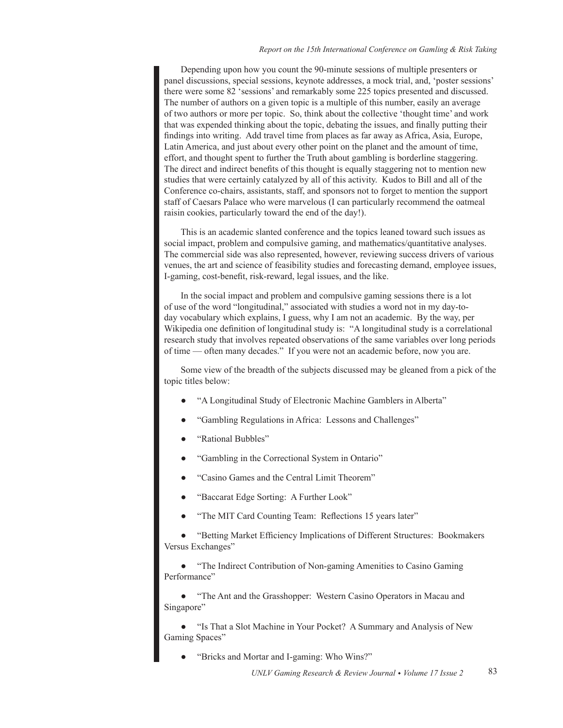Depending upon how you count the 90-minute sessions of multiple presenters or panel discussions, special sessions, keynote addresses, a mock trial, and, 'poster sessions' there were some 82 'sessions' and remarkably some 225 topics presented and discussed. The number of authors on a given topic is a multiple of this number, easily an average of two authors or more per topic. So, think about the collective 'thought time' and work that was expended thinking about the topic, debating the issues, and finally putting their findings into writing. Add travel time from places as far away as Africa, Asia, Europe, Latin America, and just about every other point on the planet and the amount of time, effort, and thought spent to further the Truth about gambling is borderline staggering. The direct and indirect benefits of this thought is equally staggering not to mention new studies that were certainly catalyzed by all of this activity. Kudos to Bill and all of the Conference co-chairs, assistants, staff, and sponsors not to forget to mention the support staff of Caesars Palace who were marvelous (I can particularly recommend the oatmeal raisin cookies, particularly toward the end of the day!).

This is an academic slanted conference and the topics leaned toward such issues as social impact, problem and compulsive gaming, and mathematics/quantitative analyses. The commercial side was also represented, however, reviewing success drivers of various venues, the art and science of feasibility studies and forecasting demand, employee issues, I-gaming, cost-benefit, risk-reward, legal issues, and the like.

In the social impact and problem and compulsive gaming sessions there is a lot of use of the word "longitudinal," associated with studies a word not in my day-today vocabulary which explains, I guess, why I am not an academic. By the way, per Wikipedia one definition of longitudinal study is: "A longitudinal study is a correlational research study that involves repeated observations of the same variables over long periods of time - often many decades." If you were not an academic before, now you are.

Some view of the breadth of the subjects discussed may be gleaned from a pick of the topic titles below:

- "A Longitudinal Study of Electronic Machine Gamblers in Alberta"
- "Gambling Regulations in Africa: Lessons and Challenges"
- "Rational Bubbles"
- "Gambling in the Correctional System in Ontario"
- "Casino Games and the Central Limit Theorem"
- "Baccarat Edge Sorting: A Further Look"
- "The MIT Card Counting Team: Reflections 15 years later"

"Betting Market Efficiency Implications of Different Structures: Bookmakers Versus Exchanges"

"The Indirect Contribution of Non-gaming Amenities to Casino Gaming Performance"

'The Ant and the Grasshopper: Western Casino Operators in Macau and Singapore'

"Is That a Slot Machine in Your Pocket? A Summary and Analysis of New Gaming Spaces"

"Bricks and Mortar and I-gaming: Who Wins?"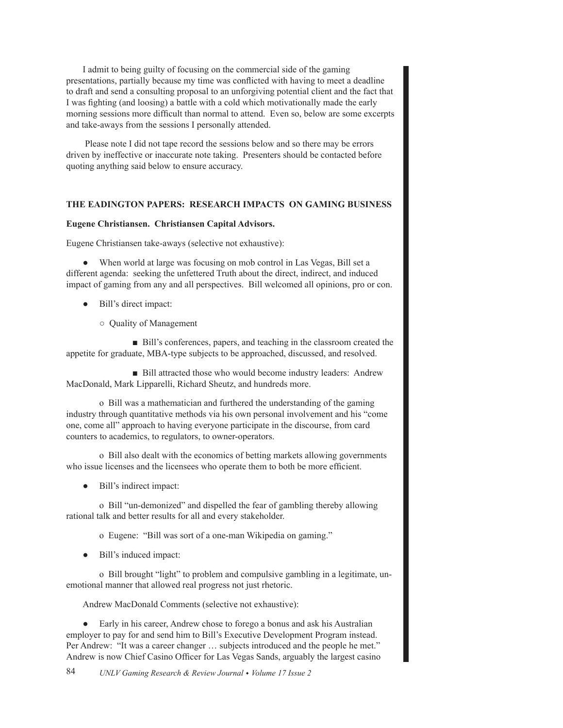I admit to being guilty of focusing on the commercial side of the gaming presentations, partially because my time was conflicted with having to meet a deadline to draft and send a consulting proposal to an unforgiving potential client and the fact that I was fighting (and loosing) a battle with a cold which motivationally made the early morning sessions more difficult than normal to attend. Even so, below are some excerpts and take-aways from the sessions I personally attended.

Please note I did not tape record the sessions below and so there may be errors driven by ineffective or inaccurate note taking. Presenters should be contacted before quoting anything said below to ensure accuracy.

# **THE EADINGTON PAPERS: RESEARCH IMPACTS ON GAMING BUSINESS**

## **Eugene Christiansen. Christiansen Capital Advisors.**

Eugene Christiansen take-aways (selective not exhaustive):

• When world at large was focusing on mob control in Las Vegas, Bill set a different agenda: seeking the unfettered Truth about the direct, indirect, and induced impact of gaming from any and all perspectives. Bill welcomed all opinions, pro or con.

- Bill's direct impact:
	- $\circ$  Quality of Management

■ Bill's conferences, papers, and teaching in the classroom created the appetite for graduate, MBA-type subjects to be approached, discussed, and resolved.

■ Bill attracted those who would become industry leaders: Andrew MacDonald, Mark Lipparelli, Richard Sheutz, and hundreds more.

o Bill was a mathematician and furthered the understanding of the gaming industry through quantitative methods via his own personal involvement and his "come one, come all" approach to having everyone participate in the discourse, from card counters to academics, to regulators, to owner-operators.

o Bill also dealt with the economics of betting markets allowing governments who issue licenses and the licensees who operate them to both be more efficient.

• Bill's indirect impact:

o Bill "un-demonized" and dispelled the fear of gambling thereby allowing rational talk and better results for all and every stakeholder.

o Eugene: "Bill was sort of a one-man Wikipedia on gaming."

• Bill's induced impact:

o Bill brought "light" to problem and compulsive gambling in a legitimate, unemotional manner that allowed real progress not just rhetoric.

Andrew MacDonald Comments (selective not exhaustive):

• Early in his career, Andrew chose to forego a bonus and ask his Australian employer to pay for and send him to Bill's Executive Development Program instead. Per Andrew: "It was a career changer ... subjects introduced and the people he met." Andrew is now Chief Casino Officer for Las Vegas Sands, arguably the largest casino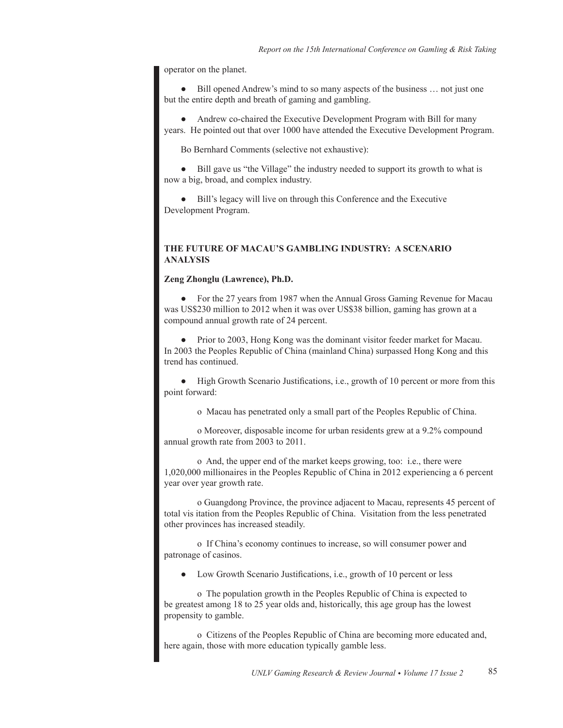operator on the planet.

Bill opened Andrew's mind to so many aspects of the business ... not just one but the entire depth and breath of gaming and gambling.

Andrew co-chaired the Executive Development Program with Bill for many years. He pointed out that over 1000 have attended the Executive Development Program.

Bo Bernhard Comments (selective not exhaustive):

Bill gave us "the Village" the industry needed to support its growth to what is now a big, broad, and complex industry.

• Bill's legacy will live on through this Conference and the Executive Development Program.

# **THE FUTURE OF MACAU'S GAMBLING INDUSTRY: A SCENARIO ANALYSIS**

#### **Zeng Zhonglu (Lawrence), Ph.D.**

For the 27 years from 1987 when the Annual Gross Gaming Revenue for Macau was US\$230 million to 2012 when it was over US\$38 billion, gaming has grown at a compound annual growth rate of 24 percent.

Prior to 2003, Hong Kong was the dominant visitor feeder market for Macau. In 2003 the Peoples Republic of China (mainland China) surpassed Hong Kong and this trend has continued.

• High Growth Scenario Justifications, i.e., growth of 10 percent or more from this point forward:

o Macau has penetrated only a small part of the Peoples Republic of China.

o Moreover, disposable income for urban residents grew at a 9.2% compound annual growth rate from 2003 to 2011.

o And, the upper end of the market keeps growing, too: i.e., there were 1,020,000 millionaires in the Peoples Republic of China in 2012 experiencing a 6 percent year over year growth rate.

o Guangdong Province, the province adjacent to Macau, represents 45 percent of total vis itation from the Peoples Republic of China. Visitation from the less penetrated other provinces has increased steadily.

o If China's economy continues to increase, so will consumer power and patronage of casinos.

Low Growth Scenario Justifications, i.e., growth of 10 percent or less

o The population growth in the Peoples Republic of China is expected to be greatest among 18 to 25 year olds and, historically, this age group has the lowest propensity to gamble.

o Citizens of the Peoples Republic of China are becoming more educated and, here again, those with more education typically gamble less.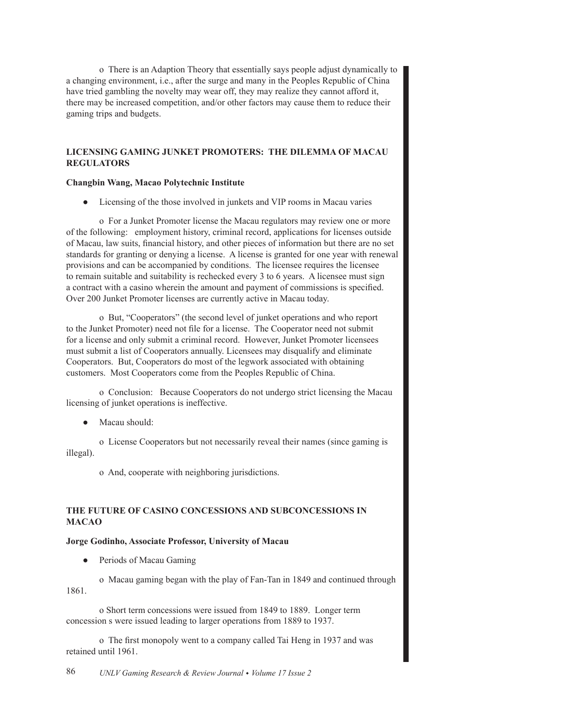o There is an Adaption Theory that essentially says people adjust dynamically to a changing environment, i.e., after the surge and many in the Peoples Republic of China have tried gambling the novelty may wear off, they may realize they cannot afford it, there may be increased competition, and/or other factors may cause them to reduce their gaming trips and budgets.

# **LICENSING GAMING JUNKET PROMOTERS: THE DILEMMA OF MACAU REGULATORS**

## **Changbin Wang, Macao Polytechnic Institute**

• Licensing of the those involved in junkets and VIP rooms in Macau varies

o For a Junket Promoter license the Macau regulators may review one or more of the following: employment history, criminal record, applications for licenses outside of Macau, law suits, financial history, and other pieces of information but there are no set standards for granting or denying a license. A license is granted for one year with renewal provisions and can be accompanied by conditions. The licensee requires the licensee to remain suitable and suitability is rechecked every 3 to 6 years. A licensee must sign a contract with a casino wherein the amount and payment of commissions is specified. Over 200 Junket Promoter licenses are currently active in Macau today.

o But, "Cooperators" (the second level of junket operations and who report to the Junket Promoter) need not file for a license. The Cooperator need not submit for a license and only submit a criminal record. However, Junket Promoter licensees must submit a list of Cooperators annually. Licensees may disqualify and eliminate Cooperators. But, Cooperators do most of the legwork associated with obtaining customers. Most Cooperators come from the Peoples Republic of China.

o Conclusion: Because Cooperators do not undergo strict licensing the Macau licensing of junket operations is ineffective.

Macau should:

o License Cooperators but not necessarily reveal their names (since gaming is illegal).

o And, cooperate with neighboring jurisdictions.

# **THE FUTURE OF CASINO CONCESSIONS AND SUBCONCESSIONS IN MACAO**

# **Jorge Godinho, Associate Professor, University of Macau**

Periods of Macau Gaming

o Macau gaming began with the play of Fan-Tan in 1849 and continued through 1861

o Short term concessions were issued from 1849 to 1889. Longer term concession s were issued leading to larger operations from 1889 to 1937.

o The first monopoly went to a company called Tai Heng in 1937 and was retained until 1961.

*UNLV Gaming Research & Review Journal Volume 17 Issue 2*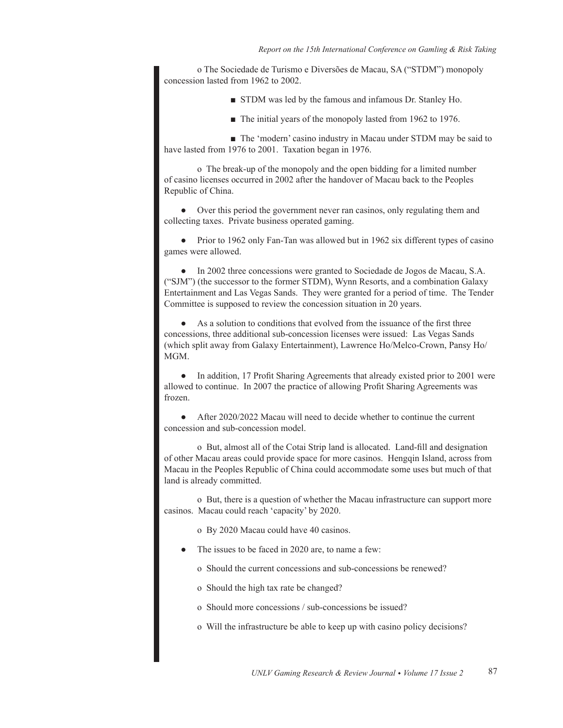o The Sociedade de Turismo e Diversões de Macau, SA ("STDM") monopoly concession lasted from 1962 to 2002.

- **F** STDM was led by the famous and infamous Dr. Stanley Ho.
- $\blacksquare$  The initial years of the monopoly lasted from 1962 to 1976.

■ The 'modern' casino industry in Macau under STDM may be said to have lasted from 1976 to 2001. Taxation began in 1976.

o The break-up of the monopoly and the open bidding for a limited number of casino licenses occurred in 2002 after the handover of Macau back to the Peoples Republic of China.

• Over this period the government never ran casinos, only regulating them and collecting taxes. Private business operated gaming.

• Prior to 1962 only Fan-Tan was allowed but in 1962 six different types of casino games were allowed.

In 2002 three concessions were granted to Sociedade de Jogos de Macau, S.A. ("SJM") (the successor to the former STDM), Wynn Resorts, and a combination Galaxy Entertainment and Las Vegas Sands. They were granted for a period of time. The Tender Committee is supposed to review the concession situation in 20 years.

As a solution to conditions that evolved from the issuance of the first three concessions, three additional sub-concession licenses were issued: Las Vegas Sands (which split away from Galaxy Entertainment), Lawrence Ho/Melco-Crown, Pansy Ho/ MGM.

In addition, 17 Profit Sharing Agreements that already existed prior to 2001 were allowed to continue. In 2007 the practice of allowing Profit Sharing Agreements was frozen.

After 2020/2022 Macau will need to decide whether to continue the current concession and sub-concession model.

o But, almost all of the Cotai Strip land is allocated. Land-fill and designation of other Macau areas could provide space for more casinos. Henggin Island, across from Macau in the Peoples Republic of China could accommodate some uses but much of that land is already committed.

o But, there is a question of whether the Macau infrastructure can support more casinos. Macau could reach 'capacity' by 2020.

o By 2020 Macau could have 40 casinos.

- The issues to be faced in 2020 are, to name a few:
	- o Should the current concessions and sub-concessions be renewed?
	- o Should the high tax rate be changed?
	- o Should more concessions / sub-concessions be issued?
	- o Will the infrastructure be able to keep up with casino policy decisions?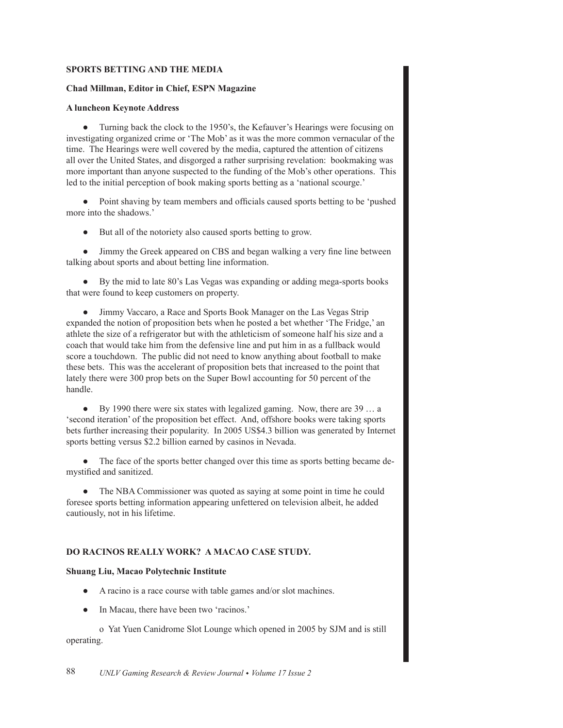### **SPORTS BETTING AND THE MEDIA**

#### Chad Millman, Editor in Chief, ESPN Magazine

#### **A luncheon Keynote Address**

• Turning back the clock to the 1950's, the Kefauver's Hearings were focusing on investigating organized crime or 'The Mob' as it was the more common vernacular of the time. The Hearings were well covered by the media, captured the attention of citizens all over the United States, and disgorged a rather surprising revelation: bookmaking was more important than anyone suspected to the funding of the Mob's other operations. This led to the initial perception of book making sports betting as a 'national scourge.'

• Point shaving by team members and officials caused sports betting to be 'pushed more into the shadows.'

But all of the notoriety also caused sports betting to grow.

• Jimmy the Greek appeared on CBS and began walking a very fine line between talking about sports and about betting line information.

By the mid to late 80's Las Vegas was expanding or adding mega-sports books that were found to keep customers on property.

• Jimmy Vaccaro, a Race and Sports Book Manager on the Las Vegas Strip expanded the notion of proposition bets when he posted a bet whether 'The Fridge,' an athlete the size of a refrigerator but with the athleticism of someone half his size and a coach that would take him from the defensive line and put him in as a fullback would score a touchdown. The public did not need to know anything about football to make these bets. This was the accelerant of proposition bets that increased to the point that lately there were 300 prop bets on the Super Bowl accounting for 50 percent of the handle.

 $\bullet$  By 1990 there were six states with legalized gaming. Now, there are 39 ... a 'second iteration' of the proposition bet effect. And, offshore books were taking sports bets further increasing their popularity. In 2005 US\$4.3 billion was generated by Internet sports betting versus \$2.2 billion earned by casinos in Nevada.

• The face of the sports better changed over this time as sports betting became demystified and sanitized.

• The NBA Commissioner was quoted as saying at some point in time he could foresee sports betting information appearing unfettered on television albeit, he added cautiously, not in his lifetime.

# **DO RACINOS REALLY WORK? A MACAO CASE STUDY.**

## **Shuang Liu, Macao Polytechnic Institute**

- A racino is a race course with table games and/or slot machines.
- In Macau, there have been two 'racinos.'

o Yat Yuen Canidrome Slot Lounge which opened in 2005 by SJM and is still operating.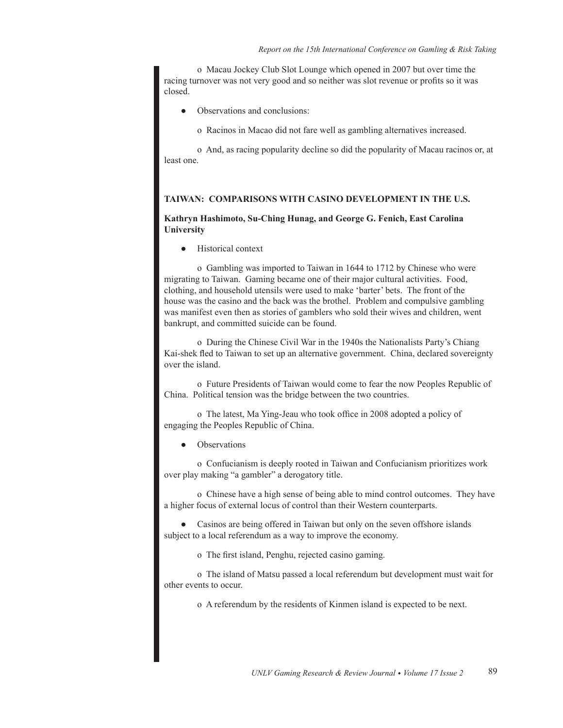o Macau Jockey Club Slot Lounge which opened in 2007 but over time the racing turnover was not very good and so neither was slot revenue or profits so it was closed.

- Observations and conclusions:
	- o Racinos in Macao did not fare well as gambling alternatives increased.

o And, as racing popularity decline so did the popularity of Macau racinos or, at least one.

#### TAIWAN: COMPARISONS WITH CASINO DEVELOPMENT IN THE U.S.

## Kathryn Hashimoto, Su-Ching Hunag, and George G. Fenich, East Carolina University

Historical context  $\bullet$ 

o Gambling was imported to Taiwan in 1644 to 1712 by Chinese who were migrating to Taiwan. Gaming became one of their major cultural activities. Food, clothing, and household utensils were used to make 'barter' bets. The front of the house was the casino and the back was the brothel. Problem and compulsive gambling was manifest even then as stories of gamblers who sold their wives and children, went bankrupt, and committed suicide can be found.

o During the Chinese Civil War in the 1940s the Nationalists Party's Chiang Kai-shek fled to Taiwan to set up an alternative government. China, declared sovereignty over the island.

o Future Presidents of Taiwan would come to fear the now Peoples Republic of China. Political tension was the bridge between the two countries.

o The latest, Ma Ying-Jeau who took office in 2008 adopted a policy of engaging the Peoples Republic of China.

Observations

o Confucianism is deeply rooted in Taiwan and Confucianism prioritizes work over play making "a gambler" a derogatory title.

o Chinese have a high sense of being able to mind control outcomes. They have a higher focus of external locus of control than their Western counterparts.

Casinos are being offered in Taiwan but only on the seven offshore islands subject to a local referendum as a way to improve the economy.

o The first island, Penghu, rejected casino gaming.

o The island of Matsu passed a local referendum but development must wait for other events to occur.

o A referendum by the residents of Kinmen island is expected to be next.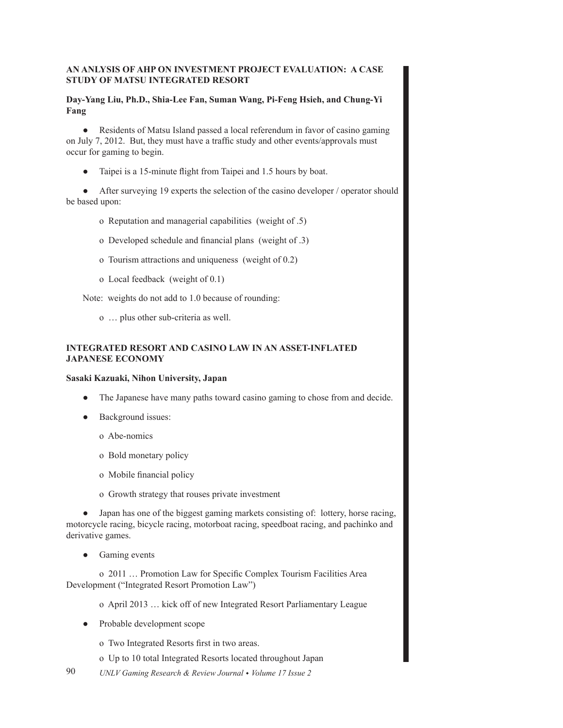# AN ANLYSIS OF AHP ON INVESTMENT PROJECT EVALUATION: A CASE **STUDY OF MATSU INTEGRATED RESORT**

# Day-Yang Liu, Ph.D., Shia-Lee Fan, Suman Wang, Pi-Feng Hsieh, and Chung-Yi Fang

• Residents of Matsu Island passed a local referendum in favor of casino gaming on July 7, 2012. But, they must have a traffic study and other events/approvals must occur for gaming to begin.

Taipei is a 15-minute flight from Taipei and 1.5 hours by boat.

After surveying 19 experts the selection of the casino developer / operator should be based upon:

- o Reputation and managerial capabilities (weight of .5)
- o Developed schedule and financial plans (weight of .3)
- o Tourism attractions and uniqueness (weight of 0.2)
- o Local feedback (weight of  $0.1$ )

Note: weights do not add to 1.0 because of rounding:

o ... plus other sub-criteria as well.

# **INTEGRATED RESORT AND CASINO LAW IN AN ASSET-INFLATED JAPANESE ECONOMY**

### Sasaki Kazuaki, Nihon University, Japan

- The Japanese have many paths toward casino gaming to chose from and decide.
- Background issues:
	- o Abe-nomics
	- o Bold monetary policy
	- o Mobile financial policy
	- o Growth strategy that rouses private investment

• Japan has one of the biggest gaming markets consisting of: lottery, horse racing, motorcycle racing, bicycle racing, motorboat racing, speedboat racing, and pachinko and derivative games.

 $\bullet$  Gaming events

o 2011 ... Promotion Law for Specific Complex Tourism Facilities Area Development ("Integrated Resort Promotion Law")

o April 2013 ... kick off of new Integrated Resort Parliamentary League

- Probable development scope
	- o Two Integrated Resorts first in two areas.
	- o Up to 10 total Integrated Resorts located throughout Japan
- 90 UNLV Gaming Research & Review Journal • Volume 17 Issue 2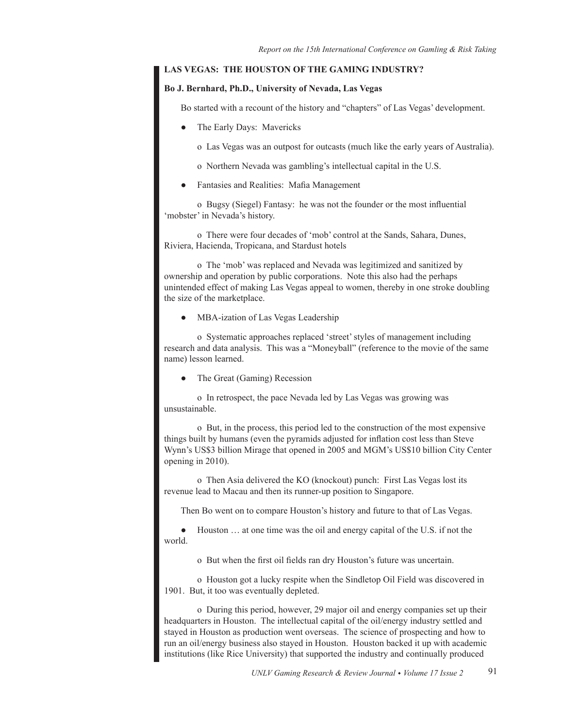## LAS VEGAS: THE HOUSTON OF THE GAMING INDUSTRY?

#### Bo J. Bernhard, Ph.D., University of Nevada, Las Vegas

Bo started with a recount of the history and "chapters" of Las Vegas' development.

- The Early Days: Mavericks
	- o Las Vegas was an outpost for outcasts (much like the early years of Australia).
	- o Northern Nevada was gambling's intellectual capital in the U.S.
- Fantasies and Realities: Mafia Management

o Bugsy (Siegel) Fantasy: he was not the founder or the most influential 'mobster' in Nevada's history.

o There were four decades of 'mob' control at the Sands, Sahara, Dunes, Riviera, Hacienda, Tropicana, and Stardust hotels

o The 'mob' was replaced and Nevada was legitimized and sanitized by ownership and operation by public corporations. Note this also had the perhaps unintended effect of making Las Vegas appeal to women, thereby in one stroke doubling the size of the marketplace.

MBA-ization of Las Vegas Leadership

o Systematic approaches replaced 'street' styles of management including research and data analysis. This was a "Moneyball" (reference to the movie of the same name) lesson learned.

The Great (Gaming) Recession

o In retrospect, the pace Nevada led by Las Vegas was growing was unsustainable.

o But, in the process, this period led to the construction of the most expensive things built by humans (even the pyramids adjusted for inflation cost less than Steve Wynn's US\$3 billion Mirage that opened in 2005 and MGM's US\$10 billion City Center opening in 2010).

o Then Asia delivered the KO (knockout) punch: First Las Vegas lost its revenue lead to Macau and then its runner-up position to Singapore.

Then Bo went on to compare Houston's history and future to that of Las Vegas.

Houston ... at one time was the oil and energy capital of the U.S. if not the world.

o But when the first oil fields ran dry Houston's future was uncertain.

o Houston got a lucky respite when the Sindletop Oil Field was discovered in 1901. But, it too was eventually depleted.

o During this period, however, 29 major oil and energy companies set up their headquarters in Houston. The intellectual capital of the oil/energy industry settled and stayed in Houston as production went overseas. The science of prospecting and how to run an oil/energy business also stayed in Houston. Houston backed it up with academic institutions (like Rice University) that supported the industry and continually produced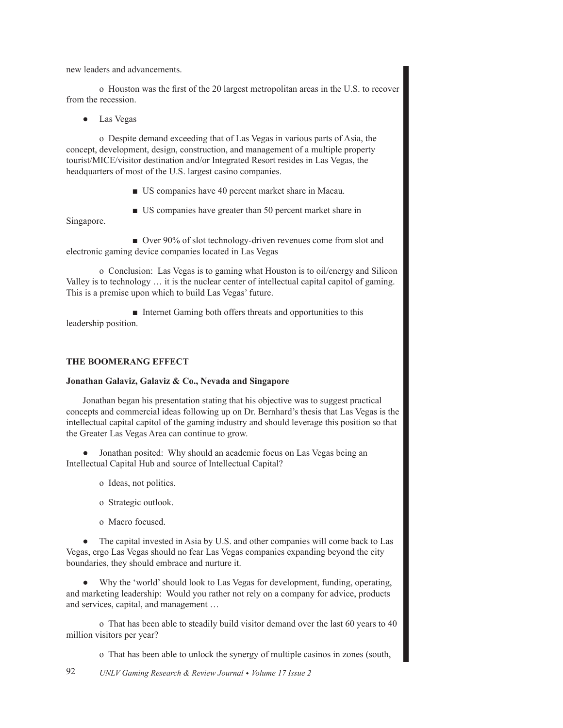new leaders and advancements.

o Houston was the first of the 20 largest metropolitan areas in the U.S. to recover from the recession.

 $\bullet$  Las Vegas

o Despite demand exceeding that of Las Vegas in various parts of Asia, the concept, development, design, construction, and management of a multiple property tourist/MICE/visitor destination and/or Integrated Resort resides in Las Vegas, the headquarters of most of the U.S. largest casino companies.

- **US** companies have 40 percent market share in Macau.
- $\blacksquare$  US companies have greater than 50 percent market share in

Singapore.

 $\blacksquare$  Over 90% of slot technology-driven revenues come from slot and electronic gaming device companies located in Las Vegas

o Conclusion: Las Vegas is to gaming what Houston is to oil/energy and Silicon Valley is to technology ... it is the nuclear center of intellectual capital capitol of gaming. This is a premise upon which to build Las Vegas' future.

Internet Gaming both offers threats and opportunities to this leadership position.

## THE BOOMERANG EFFECT

### Jonathan Galaviz, Galaviz & Co., Nevada and Singapore

Jonathan began his presentation stating that his objective was to suggest practical concepts and commercial ideas following up on Dr. Bernhard's thesis that Las Vegas is the intellectual capital capitol of the gaming industry and should leverage this position so that the Greater Las Vegas Area can continue to grow.

Jonathan posited: Why should an academic focus on Las Vegas being an  $\bullet$ Intellectual Capital Hub and source of Intellectual Capital?

- o Ideas, not politics.
- o Strategic outlook.
- o Macro focused.

• The capital invested in Asia by U.S. and other companies will come back to Las Vegas, ergo Las Vegas should no fear Las Vegas companies expanding beyond the city boundaries, they should embrace and nurture it.

• Why the 'world' should look to Las Vegas for development, funding, operating, and marketing leadership: Would you rather not rely on a company for advice, products and services, capital, and management ...

o That has been able to steadily build visitor demand over the last 60 years to 40 million visitors per year?

o That has been able to unlock the synergy of multiple casinos in zones (south,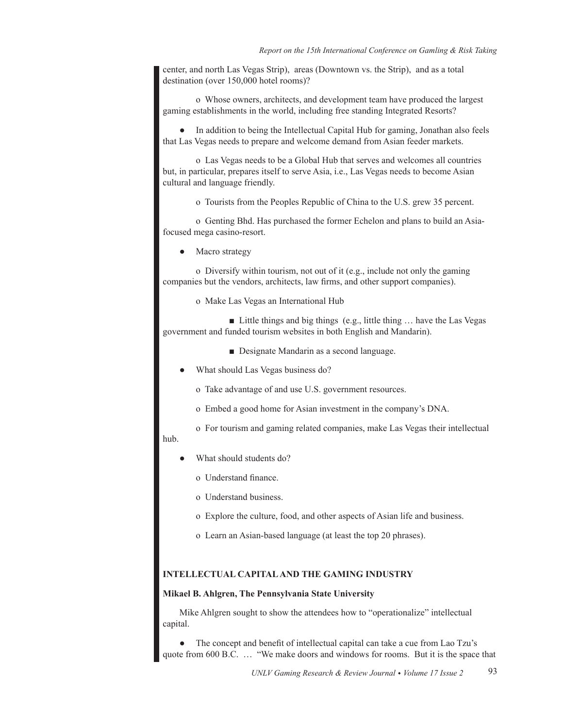center, and north Las Vegas Strip), areas (Downtown vs. the Strip), and as a total destination (over  $150,000$  hotel rooms)?

o Whose owners, architects, and development team have produced the largest gaming establishments in the world, including free standing Integrated Resorts?

In addition to being the Intellectual Capital Hub for gaming, Jonathan also feels that Las Vegas needs to prepare and welcome demand from Asian feeder markets.

o Las Vegas needs to be a Global Hub that serves and welcomes all countries but, in particular, prepares itself to serve Asia, i.e., Las Vegas needs to become Asian cultural and language friendly.

o Tourists from the Peoples Republic of China to the U.S. grew 35 percent.

o Genting Bhd. Has purchased the former Echelon and plans to build an Asiafocused mega casino-resort.

Macro strategy

o Diversify within tourism, not out of it (e.g., include not only the gaming companies but the vendors, architects, law firms, and other support companies).

o Make Las Vegas an International Hub

■ Little things and big things (e.g., little thing  $\ldots$  have the Las Vegas government and funded tourism websites in both English and Mandarin).

**• Designate Mandarin as a second language.** 

What should Las Vegas business do?

o Take advantage of and use U.S. government resources.

- o Embed a good home for Asian investment in the company's DNA.
- o For tourism and gaming related companies, make Las Vegas their intellectual

# hub.

- What should students do?
	- o Understand finance.
	- o Understand business.
	- o Explore the culture, food, and other aspects of Asian life and business.
	- o Learn an Asian-based language (at least the top 20 phrases).

## **INTELLECTUAL CAPITAL AND THE GAMING INDUSTRY**

#### **Mikael B. Ahlgren, The Pennsylvania State University**

Mike Ahlgren sought to show the attendees how to "operationalize" intellectual capital.

The concept and benefit of intellectual capital can take a cue from Lao Tzu's quote from 600 B.C. ... "We make doors and windows for rooms. But it is the space that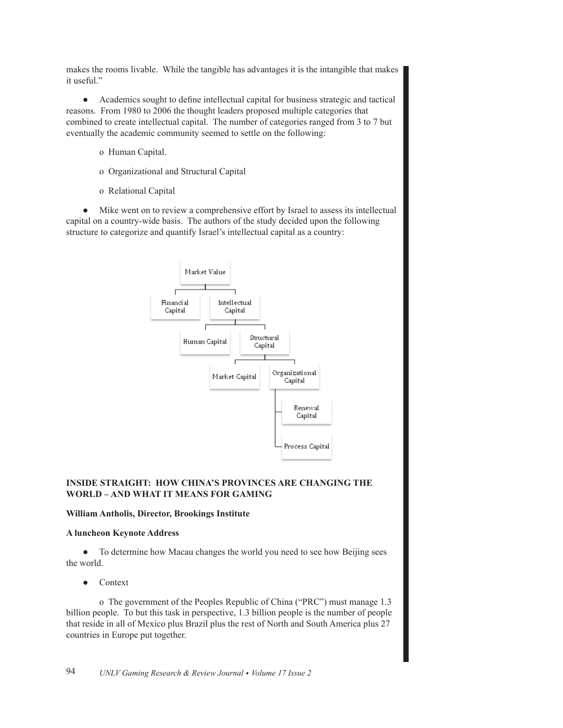makes the rooms livable. While the tangible has advantages it is the intangible that makes it useful."

 $\bullet$ Academics sought to define intellectual capital for business strategic and tactical reasons. From 1980 to 2006 the thought leaders proposed multiple categories that combined to create intellectual capital. The number of categories ranged from 3 to 7 but eventually the academic community seemed to settle on the following:

- o Human Capital.
- o Organizational and Structural Capital
- o Relational Capital

Mike went on to review a comprehensive effort by Israel to assess its intellectual  $\bullet$ capital on a country-wide basis. The authors of the study decided upon the following structure to categorize and quantify Israel's intellectual capital as a country:



# **INSIDE STRAIGHT: HOW CHINA'S PROVINCES ARE CHANGING THE WORLD-AND WHAT IT MEANS FOR GAMING**

### William Antholis, Director, Brookings Institute

### **A luncheon Keynote Address**

To determine how Macau changes the world you need to see how Beijing sees  $\bullet$ the world.

Context

o The government of the Peoples Republic of China ("PRC") must manage 1.3 billion people. To but this task in perspective, 1.3 billion people is the number of people that reside in all of Mexico plus Brazil plus the rest of North and South America plus 27 countries in Europe put together.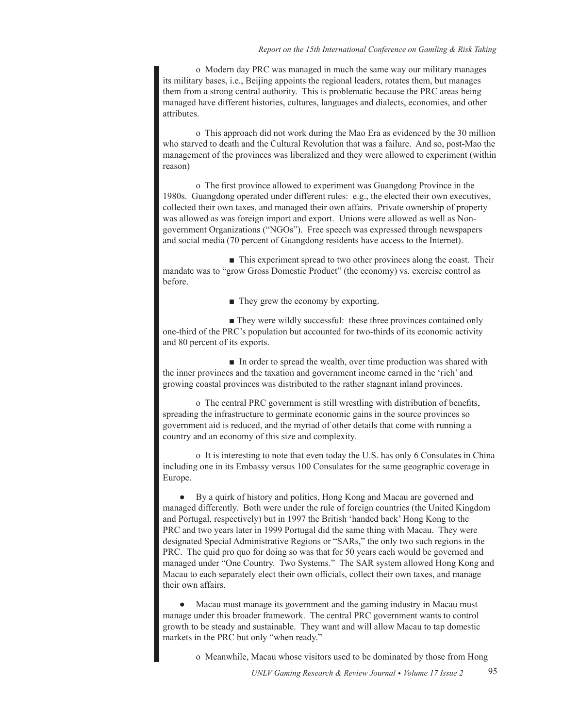o Modern day PRC was managed in much the same way our military manages its military bases, *i.e.*, Beijing appoints the regional leaders, rotates them, but manages them from a strong central authority. This is problematic because the PRC areas being managed have different histories, cultures, languages and dialects, economies, and other attributes.

o This approach did not work during the Mao Era as evidenced by the 30 million who starved to death and the Cultural Revolution that was a failure. And so, post-Mao the management of the provinces was liberalized and they were allowed to experiment (within reason)

o The first province allowed to experiment was Guangdong Province in the 1980s. Guangdong operated under different rules: e.g., the elected their own executives, collected their own taxes, and managed their own affairs. Private ownership of property was allowed as was foreign import and export. Unions were allowed as well as Nongovernment Organizations ("NGOs"). Free speech was expressed through newspapers and social media (70 percent of Guangdong residents have access to the Internet).

 $\blacksquare$  This experiment spread to two other provinces along the coast. Their mandate was to "grow Gross Domestic Product" (the economy) vs. exercise control as before.

 $\blacksquare$  They grew the economy by exporting.

 $\blacksquare$  They were wildly successful: these three provinces contained only one-third of the PRC's population but accounted for two-thirds of its economic activity and 80 percent of its exports.

 $\blacksquare$  In order to spread the wealth, over time production was shared with the inner provinces and the taxation and government income earned in the 'rich' and growing coastal provinces was distributed to the rather stagnant inland provinces.

o The central PRC government is still wrestling with distribution of benefits, spreading the infrastructure to germinate economic gains in the source provinces so government aid is reduced, and the myriad of other details that come with running a country and an economy of this size and complexity.

o It is interesting to note that even today the U.S. has only 6 Consulates in China including one in its Embassy versus 100 Consulates for the same geographic coverage in Europe.

By a quirk of history and politics, Hong Kong and Macau are governed and  $\bullet$ managed differently. Both were under the rule of foreign countries (the United Kingdom and Portugal, respectively) but in 1997 the British 'handed back' Hong Kong to the PRC and two years later in 1999 Portugal did the same thing with Macau. They were designated Special Administrative Regions or "SARs," the only two such regions in the PRC. The quid pro quo for doing so was that for 50 years each would be governed and managed under "One Country. Two Systems." The SAR system allowed Hong Kong and Macau to each separately elect their own officials, collect their own taxes, and manage their own affairs.

Macau must manage its government and the gaming industry in Macau must manage under this broader framework. The central PRC government wants to control growth to be steady and sustainable. They want and will allow Macau to tap domestic markets in the PRC but only "when ready."

o Meanwhile, Macau whose visitors used to be dominated by those from Hong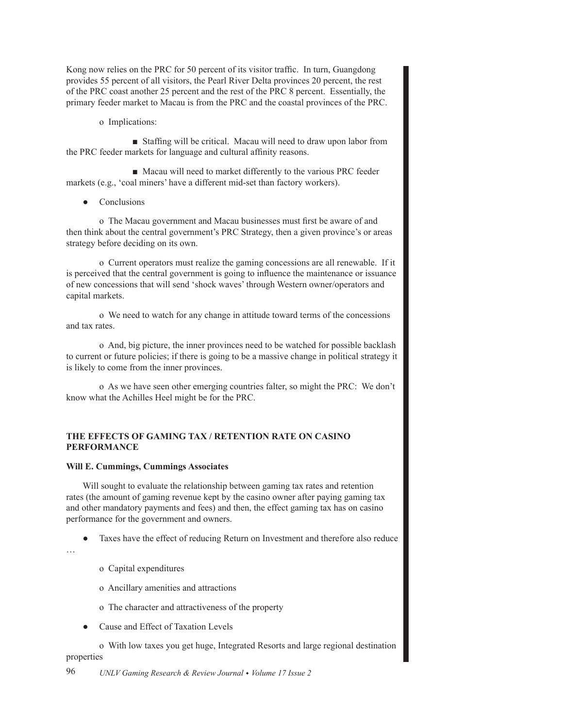Kong now relies on the PRC for 50 percent of its visitor traffic. In turn, Guangdong provides 55 percent of all visitors, the Pearl River Delta provinces 20 percent, the rest of the PRC coast another 25 percent and the rest of the PRC 8 percent. Essentially, the primary feeder market to Macau is from the PRC and the coastal provinces of the PRC.

o Implications:

Staffing will be critical. Macau will need to draw upon labor from the PRC feeder markets for language and cultural affinity reasons.

• Macau will need to market differently to the various PRC feeder markets (e.g., 'coal miners' have a different mid-set than factory workers).

• Conclusions

o The Macau government and Macau businesses must first be aware of and then think about the central government's PRC Strategy, then a given province's or areas strategy before deciding on its own.

o Current operators must realize the gaming concessions are all renewable. If it is perceived that the central government is going to influence the maintenance or issuance of new concessions that will send 'shock waves' through Western owner/operators and capital markets.

o We need to watch for any change in attitude toward terms of the concessions and tax rates.

o And, big picture, the inner provinces need to be watched for possible backlash to current or future policies; if there is going to be a massive change in political strategy it is likely to come from the inner provinces.

o As we have seen other emerging countries falter, so might the PRC: We don't know what the Achilles Heel might be for the PRC.

# **THE EFFECTS OF GAMING TAX / RETENTION RATE ON CASINO PERFORMANCE**

#### **Will E. Cummings, Cummings Associates**

Will sought to evaluate the relationship between gaming tax rates and retention rates (the amount of gaming revenue kept by the casino owner after paying gaming tax and other mandatory payments and fees) and then, the effect gaming tax has on casino performance for the government and owners.

Taxes have the effect of reducing Return on Investment and therefore also reduce

- «
- o Capital expenditures
- o Ancillary amenities and attractions
- o The character and attractiveness of the property
- Cause and Effect of Taxation Levels

o With low taxes you get huge, Integrated Resorts and large regional destination properties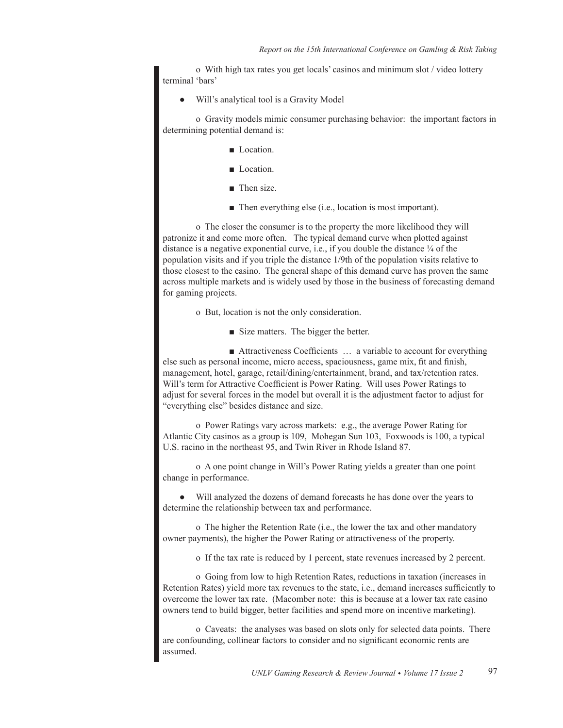o With high tax rates you get locals' casinos and minimum slot / video lottery terminal 'bars'

Will's analytical tool is a Gravity Model

o Gravity models mimic consumer purchasing behavior: the important factors in determining potential demand is:

- **Location.**
- Location.
- $\blacksquare$  Then size.
- $\blacksquare$  Then everything else (i.e., location is most important).

o The closer the consumer is to the property the more likelihood they will patronize it and come more often. The typical demand curve when plotted against distance is a negative exponential curve, i.e., if you double the distance  $\frac{1}{4}$  of the population visits and if you triple the distance 1/9th of the population visits relative to those closest to the casino. The general shape of this demand curve has proven the same across multiple markets and is widely used by those in the business of forecasting demand for gaming projects.

o But, location is not the only consideration.

■ Size matters. The bigger the better.

 $\blacksquare$  Attractiveness Coefficients  $\ldots$  a variable to account for everything else such as personal income, micro access, spaciousness, game mix, fit and finish, management, hotel, garage, retail/dining/entertainment, brand, and tax/retention rates. Will's term for Attractive Coefficient is Power Rating. Will uses Power Ratings to adjust for several forces in the model but overall it is the adjustment factor to adjust for "everything else" besides distance and size.

o Power Ratings vary across markets: e.g., the average Power Rating for Atlantic City casinos as a group is 109, Mohegan Sun 103, Foxwoods is 100, a typical U.S. racino in the northeast 95, and Twin River in Rhode Island 87.

o A one point change in Will's Power Rating yields a greater than one point change in performance.

Will analyzed the dozens of demand forecasts he has done over the years to determine the relationship between tax and performance.

o The higher the Retention Rate (i.e., the lower the tax and other mandatory owner payments), the higher the Power Rating or attractiveness of the property.

o If the tax rate is reduced by 1 percent, state revenues increased by 2 percent.

o Going from low to high Retention Rates, reductions in taxation (increases in Retention Rates) yield more tax revenues to the state, i.e., demand increases sufficiently to overcome the lower tax rate. (Macomber note: this is because at a lower tax rate casino owners tend to build bigger, better facilities and spend more on incentive marketing).

o Caveats: the analyses was based on slots only for selected data points. There are confounding, collinear factors to consider and no significant economic rents are assumed.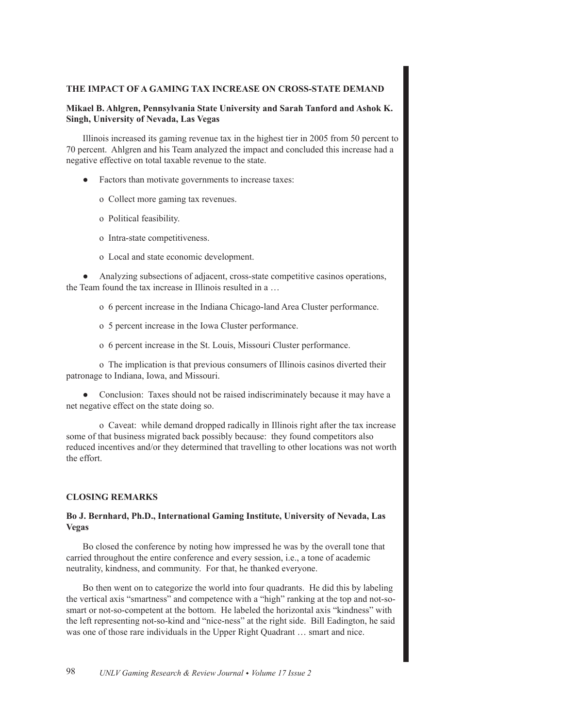## THE IMPACT OF A GAMING TAX INCREASE ON CROSS-STATE DEMAND

### Mikael B. Ahlgren, Pennsylvania State University and Sarah Tanford and Ashok K. Singh, University of Nevada, Las Vegas

Illinois increased its gaming revenue tax in the highest tier in 2005 from 50 percent to 70 percent. Ahlgren and his Team analyzed the impact and concluded this increase had a negative effective on total taxable revenue to the state.

- Factors than motivate governments to increase taxes:
	- o Collect more gaming tax revenues.
	- o Political feasibility.
	- o Intra-state competitiveness.
	- o Local and state economic development.

• Analyzing subsections of adjacent, cross-state competitive casinos operations, the Team found the tax increase in Illinois resulted in a...

- o 6 percent increase in the Indiana Chicago-land Area Cluster performance.
- o 5 percent increase in the Iowa Cluster performance.
- o 6 percent increase in the St. Louis, Missouri Cluster performance.

o The implication is that previous consumers of Illinois casinos diverted their patronage to Indiana, Iowa, and Missouri.

• Conclusion: Taxes should not be raised indiscriminately because it may have a net negative effect on the state doing so.

o Caveat: while demand dropped radically in Illinois right after the tax increase some of that business migrated back possibly because: they found competitors also reduced incentives and/or they determined that travelling to other locations was not worth the effort.

#### **CLOSING REMARKS**

# Bo J. Bernhard, Ph.D., International Gaming Institute, University of Nevada, Las **Vegas**

Bo closed the conference by noting how impressed he was by the overall tone that carried throughout the entire conference and every session, *i.e.*, a tone of academic neutrality, kindness, and community. For that, he thanked everyone.

Bo then went on to categorize the world into four quadrants. He did this by labeling the vertical axis "smartness" and competence with a "high" ranking at the top and not-sosmart or not-so-competent at the bottom. He labeled the horizontal axis "kindness" with the left representing not-so-kind and "nice-ness" at the right side. Bill Eadington, he said was one of those rare individuals in the Upper Right Quadrant ... smart and nice.